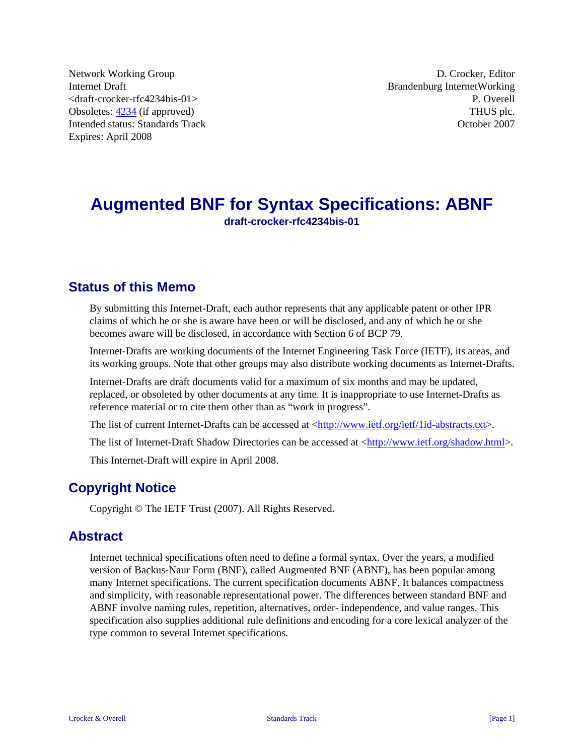Network Working Group **D. Crocker**, Editor **D. Crocker**, Editor Internet Draft<br>
Strandenburg InternetWorking<br>
P. Overell  $\langle$ draft-crocker-rfc4234bis-01 $>$ Obsoletes: [4234](http://tools.ietf.org/html/rfc4234) (if approved) THUS plc. Intended status: Standards Track October 2007 Expires: April 2008

# **Augmented BNF for Syntax Specifications: ABNF draft-crocker-rfc4234bis-01**

# **Status of this Memo**

By submitting this Internet-Draft, each author represents that any applicable patent or other IPR claims of which he or she is aware have been or will be disclosed, and any of which he or she becomes aware will be disclosed, in accordance with Section 6 of BCP 79.

Internet-Drafts are working documents of the Internet Engineering Task Force (IETF), its areas, and its working groups. Note that other groups may also distribute working documents as Internet-Drafts.

Internet-Drafts are draft documents valid for a maximum of six months and may be updated, replaced, or obsoleted by other documents at any time. It is inappropriate to use Internet-Drafts as reference material or to cite them other than as "work in progress".

The list of current Internet-Drafts can be accessed at  $\frac{\text{http://www.ietf.org/ieff/1id-abstracks.} }{\text{http://www.ieff.org/ieff/1id-abstracks.}}$ 

The list of Internet-Draft Shadow Directories can be accessed at  $\langle \frac{http://www.ietf.org/shadow.html>}{http://www.ietf.org/shadow.html>}$ .

This Internet-Draft will expire in April 2008.

# **Copyright Notice**

Copyright © The IETF Trust (2007). All Rights Reserved.

### **Abstract**

Internet technical specifications often need to define a formal syntax. Over the years, a modified version of Backus-Naur Form (BNF), called Augmented BNF (ABNF), has been popular among many Internet specifications. The current specification documents ABNF. It balances compactness and simplicity, with reasonable representational power. The differences between standard BNF and ABNF involve naming rules, repetition, alternatives, order- independence, and value ranges. This specification also supplies additional rule definitions and encoding for a core lexical analyzer of the type common to several Internet specifications.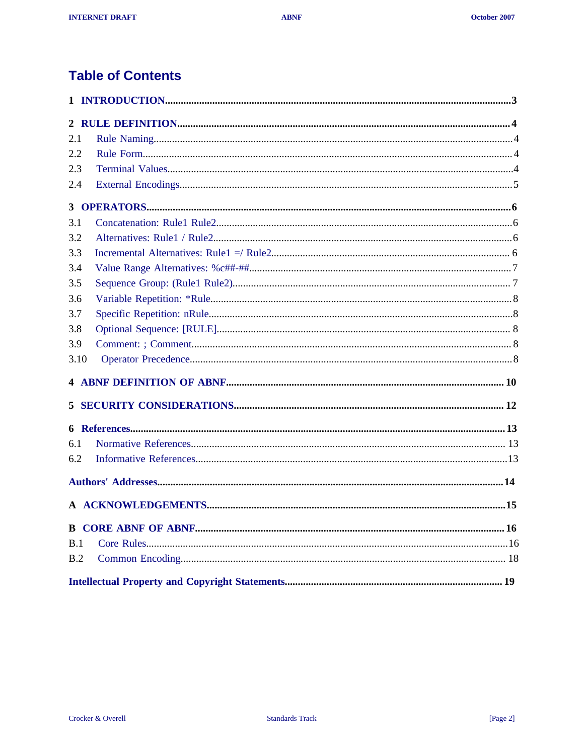# **Table of Contents**

| 2.1  |  |
|------|--|
| 2.2  |  |
| 2.3  |  |
| 2.4  |  |
|      |  |
| 3.1  |  |
| 3.2  |  |
| 3.3  |  |
| 3.4  |  |
| 3.5  |  |
| 3.6  |  |
| 3.7  |  |
| 3.8  |  |
| 3.9  |  |
| 3.10 |  |
|      |  |
|      |  |
|      |  |
| 6.1  |  |
| 6.2  |  |
|      |  |
|      |  |
|      |  |
| B.1  |  |
| B.2  |  |
|      |  |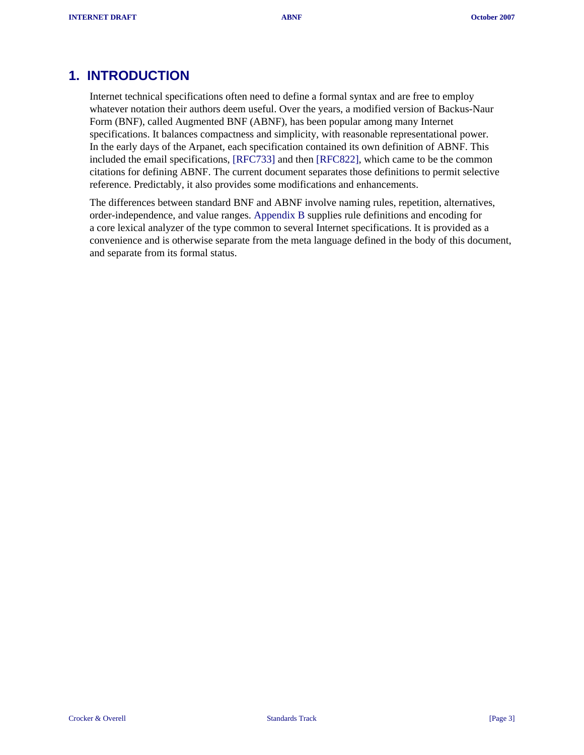## <span id="page-2-0"></span>**1. INTRODUCTION**

Internet technical specifications often need to define a formal syntax and are free to employ whatever notation their authors deem useful. Over the years, a modified version of Backus-Naur Form (BNF), called Augmented BNF (ABNF), has been popular among many Internet specifications. It balances compactness and simplicity, with reasonable representational power. In the early days of the Arpanet, each specification contained its own definition of ABNF. This included the email specifications, [\[RFC733\]](#page-12-0) and then [\[RFC822\]](#page-12-0), which came to be the common citations for defining ABNF. The current document separates those definitions to permit selective reference. Predictably, it also provides some modifications and enhancements.

The differences between standard BNF and ABNF involve naming rules, repetition, alternatives, order-independence, and value ranges. [Appendix B](#page-15-0) supplies rule definitions and encoding for a core lexical analyzer of the type common to several Internet specifications. It is provided as a convenience and is otherwise separate from the meta language defined in the body of this document, and separate from its formal status.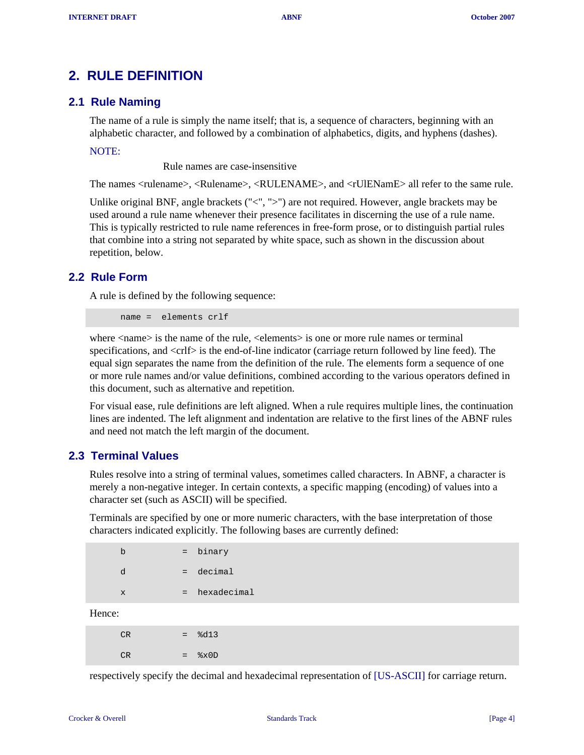## <span id="page-3-0"></span>**2. RULE DEFINITION**

### **2.1 Rule Naming**

The name of a rule is simply the name itself; that is, a sequence of characters, beginning with an alphabetic character, and followed by a combination of alphabetics, digits, and hyphens (dashes).

NOTE:

Rule names are case-insensitive

The names <rulename>, <Rulename>, <RULENAME>, and <rUlENamE> all refer to the same rule.

Unlike original BNF, angle brackets  $(\leq', \leq')$  are not required. However, angle brackets may be used around a rule name whenever their presence facilitates in discerning the use of a rule name. This is typically restricted to rule name references in free-form prose, or to distinguish partial rules that combine into a string not separated by white space, such as shown in the discussion about repetition, below.

#### **2.2 Rule Form**

A rule is defined by the following sequence:

name = elements crlf

where  $\langle$  name is the name of the rule,  $\langle$  elements is one or more rule names or terminal specifications, and <crlf> is the end-of-line indicator (carriage return followed by line feed). The equal sign separates the name from the definition of the rule. The elements form a sequence of one or more rule names and/or value definitions, combined according to the various operators defined in this document, such as alternative and repetition.

For visual ease, rule definitions are left aligned. When a rule requires multiple lines, the continuation lines are indented. The left alignment and indentation are relative to the first lines of the ABNF rules and need not match the left margin of the document.

### **2.3 Terminal Values**

Rules resolve into a string of terminal values, sometimes called characters. In ABNF, a character is merely a non-negative integer. In certain contexts, a specific mapping (encoding) of values into a character set (such as ASCII) will be specified.

Terminals are specified by one or more numeric characters, with the base interpretation of those characters indicated explicitly. The following bases are currently defined:

|        | b            | $=$ | binary      |
|--------|--------------|-----|-------------|
|        | d            |     | $=$ decimal |
|        | $\mathbf{x}$ | $=$ | hexadecimal |
| Hence: |              |     |             |
|        |              |     | - - - -     |

 $H$ 

| CR | a a | 8d13                       |
|----|-----|----------------------------|
| CR |     | $=$ $\frac{8 \times 0}{2}$ |

respectively specify the decimal and hexadecimal representation of [\[US-ASCII\]](#page-12-0) for carriage return.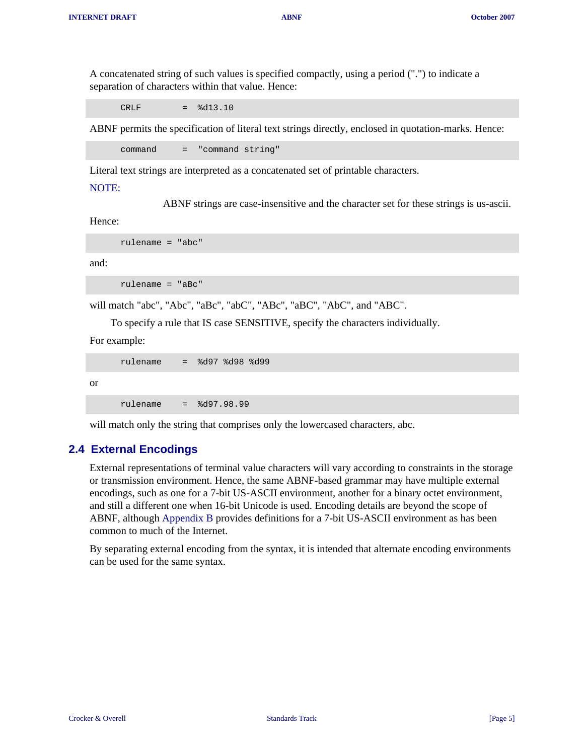<span id="page-4-0"></span>A concatenated string of such values is specified compactly, using a period (".") to indicate a separation of characters within that value. Hence:

 $CRLF =  $\frac{1}{6}d13.10$$ 

ABNF permits the specification of literal text strings directly, enclosed in quotation-marks. Hence:

command = "command string"

Literal text strings are interpreted as a concatenated set of printable characters.

#### NOTE:

ABNF strings are case-insensitive and the character set for these strings is us-ascii.

Hence:

rulename = "abc"

and:

rulename = "aBc"

will match "abc", "Abc", "aBc", "abC", "ABc", "aBC", "AbC", and "ABC".

To specify a rule that IS case SENSITIVE, specify the characters individually.

For example:

```
 rulename = %d97 %d98 %d99
```
or

rulename = %d97.98.99

will match only the string that comprises only the lowercased characters, abc.

#### **2.4 External Encodings**

External representations of terminal value characters will vary according to constraints in the storage or transmission environment. Hence, the same ABNF-based grammar may have multiple external encodings, such as one for a 7-bit US-ASCII environment, another for a binary octet environment, and still a different one when 16-bit Unicode is used. Encoding details are beyond the scope of ABNF, although [Appendix B](#page-15-0) provides definitions for a 7-bit US-ASCII environment as has been common to much of the Internet.

By separating external encoding from the syntax, it is intended that alternate encoding environments can be used for the same syntax.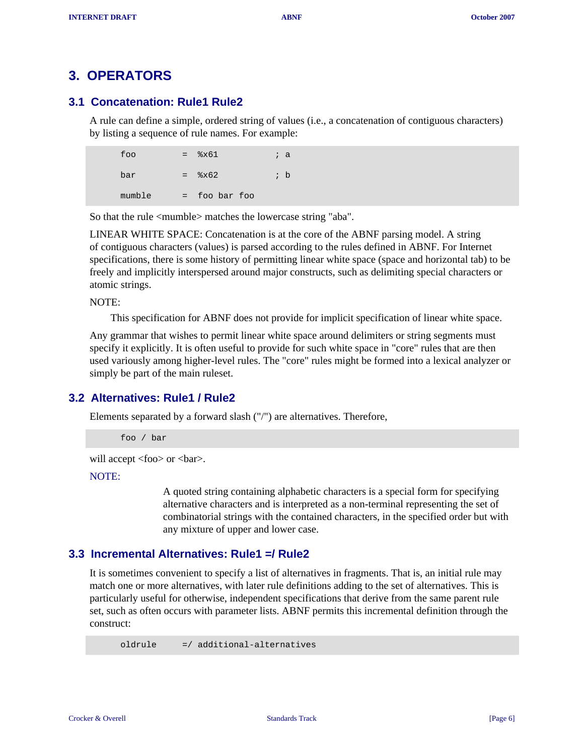## <span id="page-5-0"></span>**3. OPERATORS**

### **3.1 Concatenation: Rule1 Rule2**

A rule can define a simple, ordered string of values (i.e., a concatenation of contiguous characters) by listing a sequence of rule names. For example:

| foo    | $=$ | 8x61           | ; a            |
|--------|-----|----------------|----------------|
| bar    | $=$ | $\frac{25}{2}$ | ; $\mathsf{b}$ |
| mumble | $=$ | foo bar foo    |                |

So that the rule <mumble> matches the lowercase string "aba".

LINEAR WHITE SPACE: Concatenation is at the core of the ABNF parsing model. A string of contiguous characters (values) is parsed according to the rules defined in ABNF. For Internet specifications, there is some history of permitting linear white space (space and horizontal tab) to be freely and implicitly interspersed around major constructs, such as delimiting special characters or atomic strings.

NOTE:

This specification for ABNF does not provide for implicit specification of linear white space.

Any grammar that wishes to permit linear white space around delimiters or string segments must specify it explicitly. It is often useful to provide for such white space in "core" rules that are then used variously among higher-level rules. The "core" rules might be formed into a lexical analyzer or simply be part of the main ruleset.

### **3.2 Alternatives: Rule1 / Rule2**

Elements separated by a forward slash ("/") are alternatives. Therefore,

foo / bar

will accept <foo> or <br/> <br/>st>.

NOTE:

A quoted string containing alphabetic characters is a special form for specifying alternative characters and is interpreted as a non-terminal representing the set of combinatorial strings with the contained characters, in the specified order but with any mixture of upper and lower case.

#### **3.3 Incremental Alternatives: Rule1 =/ Rule2**

It is sometimes convenient to specify a list of alternatives in fragments. That is, an initial rule may match one or more alternatives, with later rule definitions adding to the set of alternatives. This is particularly useful for otherwise, independent specifications that derive from the same parent rule set, such as often occurs with parameter lists. ABNF permits this incremental definition through the construct:

oldrule =/ additional-alternatives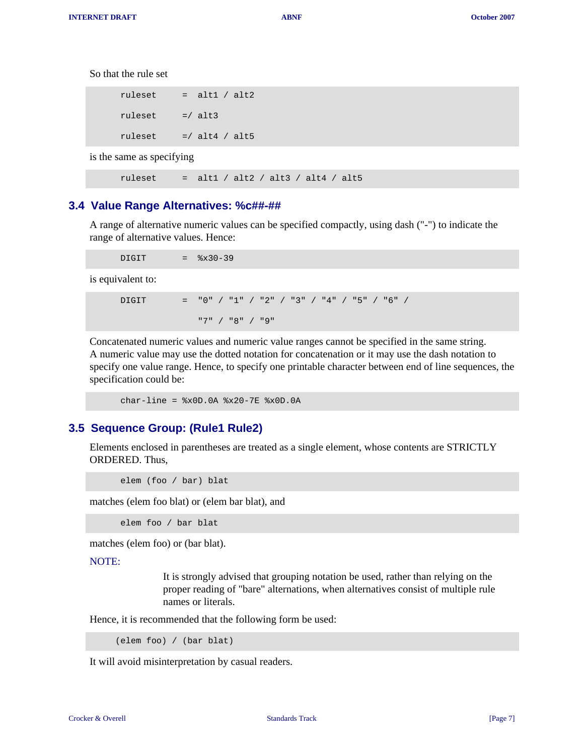<span id="page-6-0"></span>So that the rule set

| ruleset | alt $1 /$ alt $2$ |
|---------|-------------------|
| ruleset | $= /$ alt3        |
| ruleset | $=$ / alt4 / alt5 |

is the same as specifying

ruleset = alt1 / alt2 / alt3 / alt4 / alt5

#### **3.4 Value Range Alternatives: %c##-##**

A range of alternative numeric values can be specified compactly, using dash ("-") to indicate the range of alternative values. Hence:

 $DIGIT =  $\frac{8x30-39}{ }$$ 

is equivalent to:

DIGIT = "0" / "1" / "2" / "3" / "4" / "5" / "6" / "7" / "8" / "9"

Concatenated numeric values and numeric value ranges cannot be specified in the same string. A numeric value may use the dotted notation for concatenation or it may use the dash notation to specify one value range. Hence, to specify one printable character between end of line sequences, the specification could be:

 $char-line =$   $x0D.0A$   $x20-7E$   $x0D.0A$ 

#### **3.5 Sequence Group: (Rule1 Rule2)**

Elements enclosed in parentheses are treated as a single element, whose contents are STRICTLY ORDERED. Thus,

elem (foo / bar) blat

matches (elem foo blat) or (elem bar blat), and

elem foo / bar blat

matches (elem foo) or (bar blat).

#### NOTE:

It is strongly advised that grouping notation be used, rather than relying on the proper reading of "bare" alternations, when alternatives consist of multiple rule names or literals.

Hence, it is recommended that the following form be used:

(elem foo) / (bar blat)

It will avoid misinterpretation by casual readers.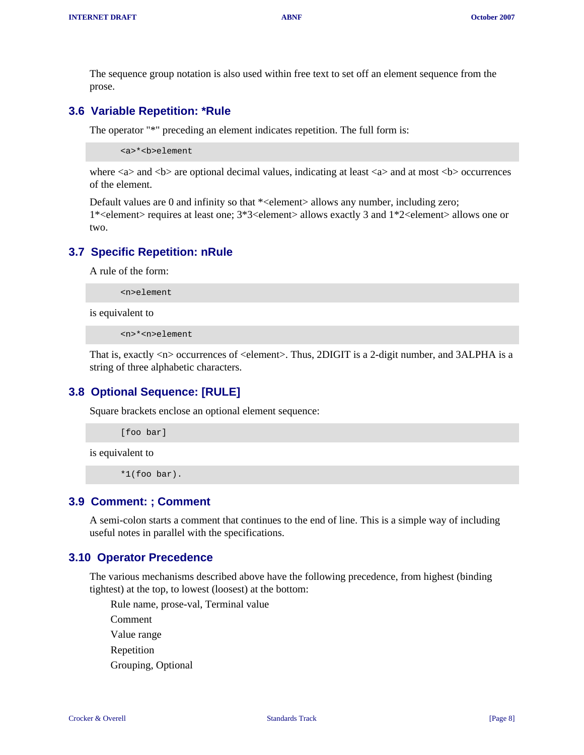<span id="page-7-0"></span>The sequence group notation is also used within free text to set off an element sequence from the prose.

#### **3.6 Variable Repetition: \*Rule**

The operator "\*" preceding an element indicates repetition. The full form is:

<a>\*<b>element

where  $\langle a \rangle$  and  $\langle b \rangle$  are optional decimal values, indicating at least  $\langle a \rangle$  and at most  $\langle b \rangle$  occurrences of the element.

Default values are 0 and infinity so that \*<element> allows any number, including zero; 1\*<element> requires at least one; 3\*3<element> allows exactly 3 and 1\*2<element> allows one or two.

#### **3.7 Specific Repetition: nRule**

A rule of the form:

<n>element

is equivalent to

<n>\*<n>element

That is, exactly <n> occurrences of <element>. Thus, 2DIGIT is a 2-digit number, and 3ALPHA is a string of three alphabetic characters.

#### **3.8 Optional Sequence: [RULE]**

Square brackets enclose an optional element sequence:

[foo bar]

is equivalent to

\*1(foo bar).

#### **3.9 Comment: ; Comment**

A semi-colon starts a comment that continues to the end of line. This is a simple way of including useful notes in parallel with the specifications.

#### **3.10 Operator Precedence**

The various mechanisms described above have the following precedence, from highest (binding tightest) at the top, to lowest (loosest) at the bottom:

Rule name, prose-val, Terminal value Comment Value range Repetition Grouping, Optional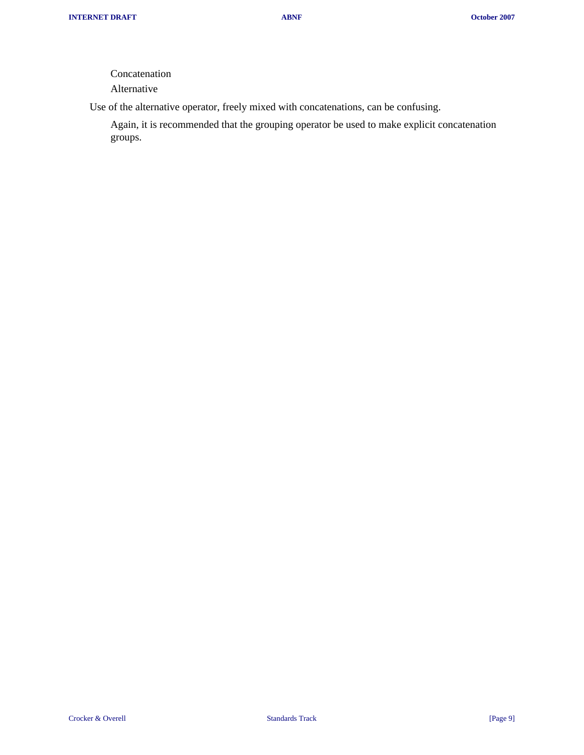Concatenation

Alternative

Use of the alternative operator, freely mixed with concatenations, can be confusing.

Again, it is recommended that the grouping operator be used to make explicit concatenation groups.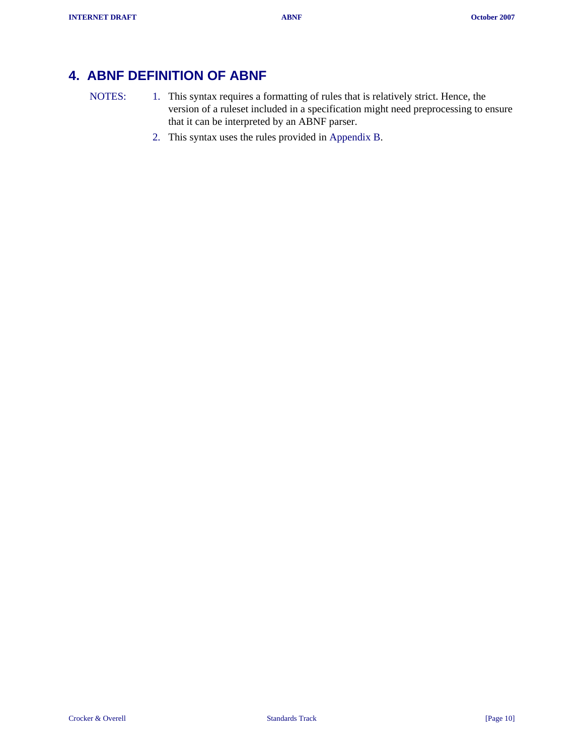# <span id="page-9-0"></span>**4. ABNF DEFINITION OF ABNF**

- NOTES: 1. This syntax requires a formatting of rules that is relatively strict. Hence, the version of a ruleset included in a specification might need preprocessing to ensure that it can be interpreted by an ABNF parser.
	- 2. This syntax uses the rules provided in [Appendix B.](#page-15-0)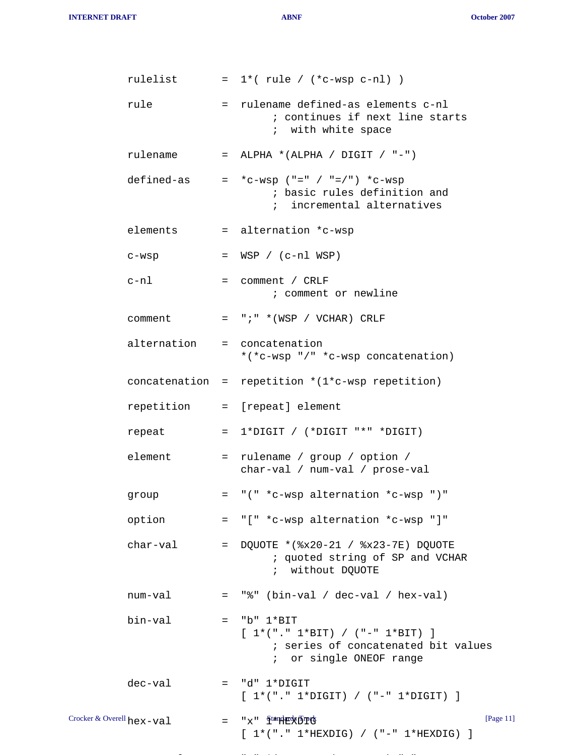**INTERNET DRAFT ABNF October 2007**

|                           | rulelist    |     | $= 1*(rule / (*c-wsp c-n]) )$                                                                                         |
|---------------------------|-------------|-----|-----------------------------------------------------------------------------------------------------------------------|
|                           | rule        |     | = rulename defined-as elements c-nl<br>; continues if next line starts<br>; with white space                          |
|                           | rulename    |     | = ALPHA *(ALPHA / DIGIT / "-")                                                                                        |
|                           | defined-as  |     | $= *c-wsp$ ("=" / "=/") *c-wsp<br>; basic rules definition and<br>; incremental alternatives                          |
|                           | elements    |     | = alternation *c-wsp                                                                                                  |
|                           | c-wsp       |     | $= WSP / (c-n1 WSP)$                                                                                                  |
|                           | c-nl        |     | $=$ comment / CRLF<br>; comment or newline                                                                            |
|                           | comment     |     | $=$ ";" *(WSP / VCHAR) CRLF                                                                                           |
|                           | alternation |     | = concatenation<br>*(*c-wsp "/" *c-wsp concatenation)                                                                 |
|                           |             |     | concatenation = repetition $*(1*c-wsp$ repetition)                                                                    |
|                           |             |     | repetition = [repeat] element                                                                                         |
|                           | repeat      |     | $= 1*DiffIT / (*DiffIT "*" *DiffIT)$                                                                                  |
|                           | element     |     | = rulename / group / option /<br>char-val / num-val / prose-val                                                       |
|                           | group       | $=$ | "(" *c-wsp alternation *c-wsp ")"                                                                                     |
|                           | option      |     | = "[" *c-wsp alternation *c-wsp "]"                                                                                   |
|                           | char-val    | $=$ | DQUOTE *(%x20-21 / %x23-7E) DQUOTE<br>; quoted string of SP and VCHAR<br>; without DQUOTE                             |
|                           | num-val     |     | $=$ "%" (bin-val / dec-val / hex-val)                                                                                 |
|                           | bin-val     |     | $=$ "b" $1*BIT$<br>$[1*(". 1*BIT) / (-. . 1*BIT) ]$<br>; series of concatenated bit values<br>; or single ONEOF range |
|                           | dec-val     |     | $=$ "d" $1*$ DIGIT<br>$[1*(". " 1*Diff]) / (" - " 1*Diff]) ]$                                                         |
| Crocker & Overell hex-val |             |     | [Page 11]<br>= "x" <sup>ftand</sup> #&D#&<br>$[1*(". " 1*HEXDIG) / (" - " 1*HEXDIG) ]$                                |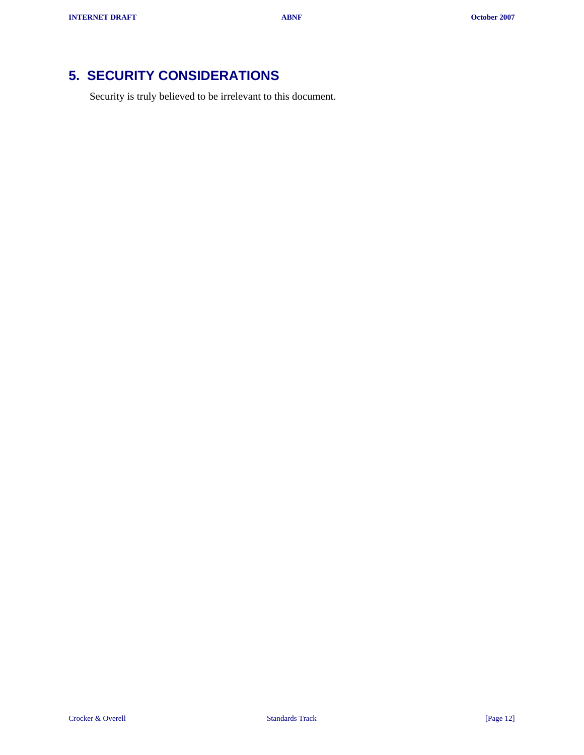# <span id="page-11-0"></span>**5. SECURITY CONSIDERATIONS**

Security is truly believed to be irrelevant to this document.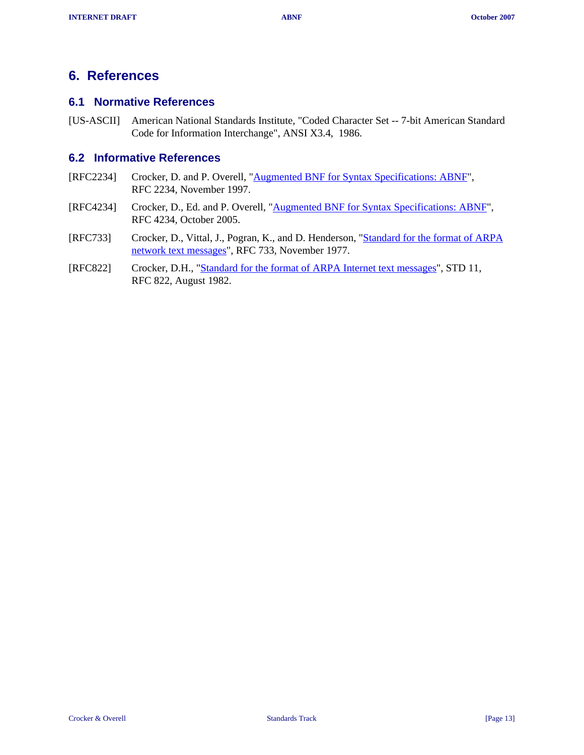## <span id="page-12-0"></span>**6. References**

### **6.1 Normative References**

[US-ASCII] American National Standards Institute, "Coded Character Set -- 7-bit American Standard Code for Information Interchange", ANSI X3.4, 1986.

#### **6.2 Informative References**

- [RFC2234] Crocker, D. and P. Overell, "**[Augmented BNF for Syntax Specifications: ABNF](http://tools.ietf.org/html/rfc2234.txt)**", RFC 2234, November 1997.
- [RFC4234] Crocker, D., Ed. and P. Overell, ["Augmented BNF for Syntax Specifications: ABNF"](http://tools.ietf.org/html/rfc4234.txt), RFC 4234, October 2005.
- [RFC733] Crocker, D., Vittal, J., Pogran, K., and D. Henderson, "[Standard for the format of ARPA](http://tools.ietf.org/html/rfc733.txt) [network text messages"](http://tools.ietf.org/html/rfc733.txt), RFC 733, November 1977.
- [RFC822] Crocker, D.H., ["Standard for the format of ARPA Internet text messages"](http://tools.ietf.org/html/rfc822.txt), STD 11, RFC 822, August 1982.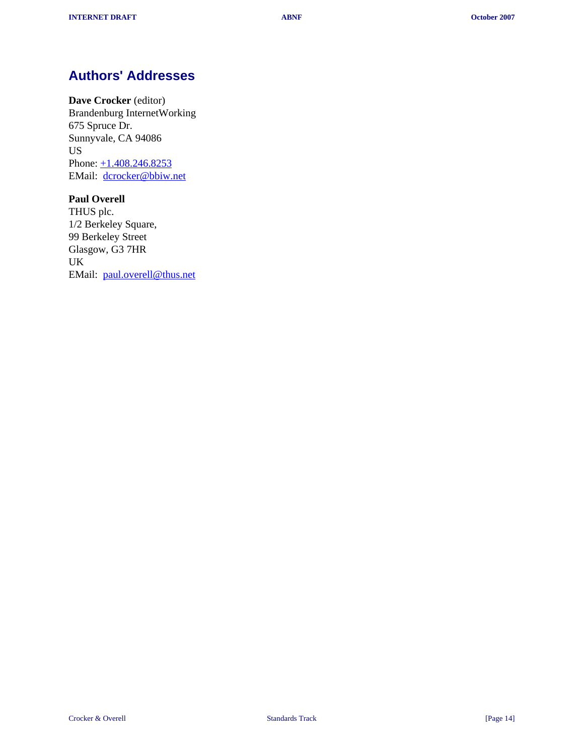# <span id="page-13-0"></span>**Authors' Addresses**

**Dave Crocker** (editor) Brandenburg InternetWorking 675 Spruce Dr. Sunnyvale, CA 94086 US Phone:  $\pm 1.408.246.8253$ EMail: [dcrocker@bbiw.net](mailto:dcrocker@bbiw.net)

#### **Paul Overell**

THUS plc. 1/2 Berkeley Square, 99 Berkeley Street Glasgow, G3 7HR UK EMail: [paul.overell@thus.net](mailto:paul.overell@thus.net)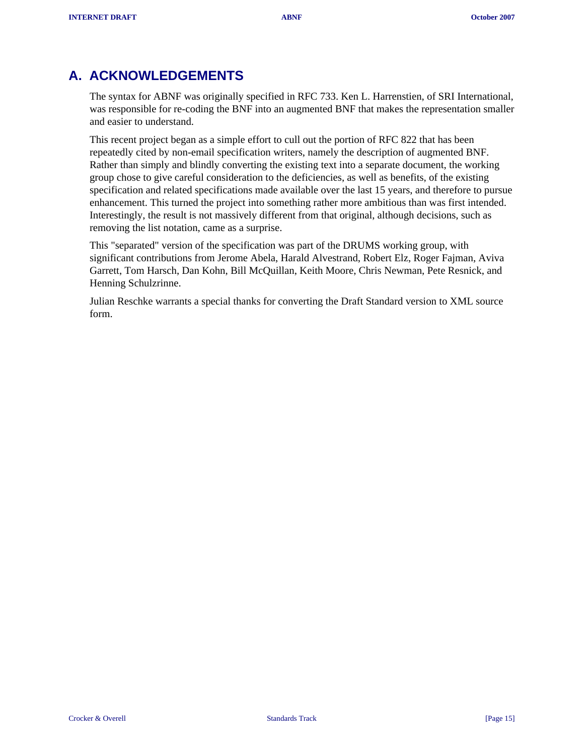# <span id="page-14-0"></span>**A. ACKNOWLEDGEMENTS**

The syntax for ABNF was originally specified in RFC 733. Ken L. Harrenstien, of SRI International, was responsible for re-coding the BNF into an augmented BNF that makes the representation smaller and easier to understand.

This recent project began as a simple effort to cull out the portion of RFC 822 that has been repeatedly cited by non-email specification writers, namely the description of augmented BNF. Rather than simply and blindly converting the existing text into a separate document, the working group chose to give careful consideration to the deficiencies, as well as benefits, of the existing specification and related specifications made available over the last 15 years, and therefore to pursue enhancement. This turned the project into something rather more ambitious than was first intended. Interestingly, the result is not massively different from that original, although decisions, such as removing the list notation, came as a surprise.

This "separated" version of the specification was part of the DRUMS working group, with significant contributions from Jerome Abela, Harald Alvestrand, Robert Elz, Roger Fajman, Aviva Garrett, Tom Harsch, Dan Kohn, Bill McQuillan, Keith Moore, Chris Newman, Pete Resnick, and Henning Schulzrinne.

Julian Reschke warrants a special thanks for converting the Draft Standard version to XML source form.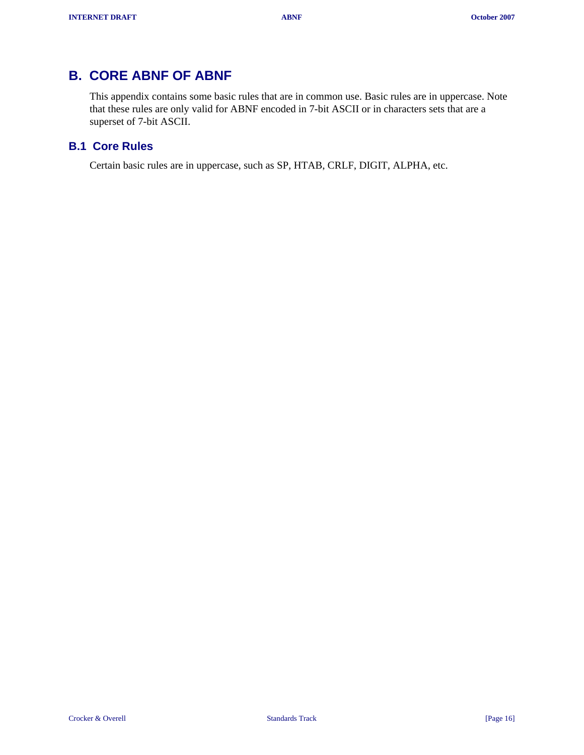# <span id="page-15-0"></span>**B. CORE ABNF OF ABNF**

This appendix contains some basic rules that are in common use. Basic rules are in uppercase. Note that these rules are only valid for ABNF encoded in 7-bit ASCII or in characters sets that are a superset of 7-bit ASCII.

### **B.1 Core Rules**

Certain basic rules are in uppercase, such as SP, HTAB, CRLF, DIGIT, ALPHA, etc.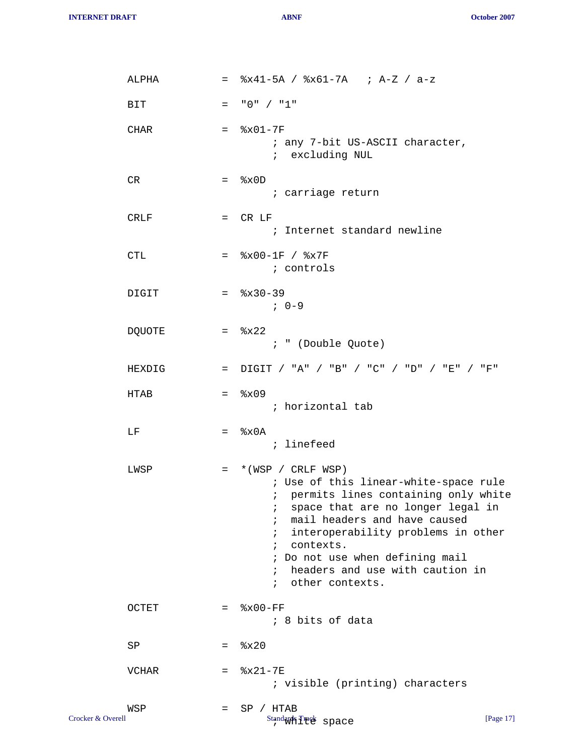**INTERNET DRAFT ABNF October 2007**

| ALPHA         |         | $=$ $8x41-5A$ / $8x61-7A$ ; A-Z / a-z                                                                                                                                                                                                                                                                                                                                                              |
|---------------|---------|----------------------------------------------------------------------------------------------------------------------------------------------------------------------------------------------------------------------------------------------------------------------------------------------------------------------------------------------------------------------------------------------------|
| <b>BIT</b>    | $=$     | "0" / "1"                                                                                                                                                                                                                                                                                                                                                                                          |
| CHAR          |         | $=$ $8x01-7F$<br>; any 7-bit US-ASCII character,<br>; excluding NUL                                                                                                                                                                                                                                                                                                                                |
| CR            |         | $=$ $\&x0D$<br>; carriage return                                                                                                                                                                                                                                                                                                                                                                   |
| <b>CRLF</b>   |         | $=$ CR LF<br>; Internet standard newline                                                                                                                                                                                                                                                                                                                                                           |
| <b>CTL</b>    |         | $=$ $\frac{8 \times 00 - 1F}{8 \times 7F}$<br>; controls                                                                                                                                                                                                                                                                                                                                           |
| DIGIT         |         | $=$ $\frac{8x30-39}{ }$<br>$7.0 - 9$                                                                                                                                                                                                                                                                                                                                                               |
| <b>DQUOTE</b> |         | $=$ $8x22$<br>; " (Double Quote)                                                                                                                                                                                                                                                                                                                                                                   |
| HEXDIG        |         | = $DIGIT$ / "A" / "B" / "C" / "D" / "E" / "F"                                                                                                                                                                                                                                                                                                                                                      |
| HTAB          |         | $=$ $\frac{8 \times 0.9}{5}$<br>; horizontal tab                                                                                                                                                                                                                                                                                                                                                   |
| LF            |         | $=$ $\&x0A$<br>; linefeed                                                                                                                                                                                                                                                                                                                                                                          |
| LWSP          | $=$ $-$ | *(WSP / CRLF WSP)<br>; Use of this linear-white-space rule<br>; permits lines containing only white<br>space that are no longer legal in<br>$\ddot{i}$<br>mail headers and have caused<br>$\ddot{i}$<br>interoperability problems in other<br>i.<br>contexts.<br>$\mathbf{r}$<br>; Do not use when defining mail<br>headers and use with caution in<br>$\ddot{ }$<br>other contexts.<br>$\ddot{i}$ |
| OCTET         |         | $=$ $8x00-FF$<br>; 8 bits of data                                                                                                                                                                                                                                                                                                                                                                  |
| SP            | $=$     | 8x20                                                                                                                                                                                                                                                                                                                                                                                               |
| <b>VCHAR</b>  | $=$     | $8x21 - 7E$<br>; visible (printing) characters                                                                                                                                                                                                                                                                                                                                                     |
| WSP           | =       | SP / HTAB                                                                                                                                                                                                                                                                                                                                                                                          |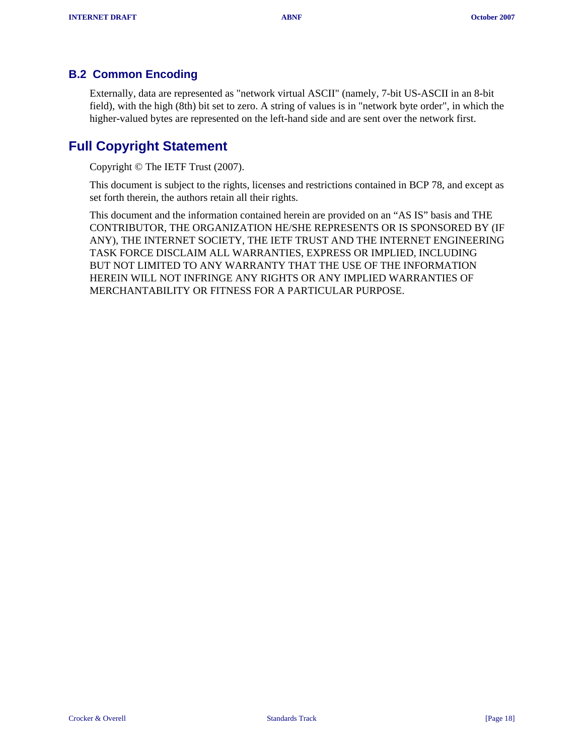### <span id="page-17-0"></span>**B.2 Common Encoding**

Externally, data are represented as "network virtual ASCII" (namely, 7-bit US-ASCII in an 8-bit field), with the high (8th) bit set to zero. A string of values is in "network byte order", in which the higher-valued bytes are represented on the left-hand side and are sent over the network first.

## **Full Copyright Statement**

Copyright © The IETF Trust (2007).

This document is subject to the rights, licenses and restrictions contained in BCP 78, and except as set forth therein, the authors retain all their rights.

This document and the information contained herein are provided on an "AS IS" basis and THE CONTRIBUTOR, THE ORGANIZATION HE/SHE REPRESENTS OR IS SPONSORED BY (IF ANY), THE INTERNET SOCIETY, THE IETF TRUST AND THE INTERNET ENGINEERING TASK FORCE DISCLAIM ALL WARRANTIES, EXPRESS OR IMPLIED, INCLUDING BUT NOT LIMITED TO ANY WARRANTY THAT THE USE OF THE INFORMATION HEREIN WILL NOT INFRINGE ANY RIGHTS OR ANY IMPLIED WARRANTIES OF MERCHANTABILITY OR FITNESS FOR A PARTICULAR PURPOSE.